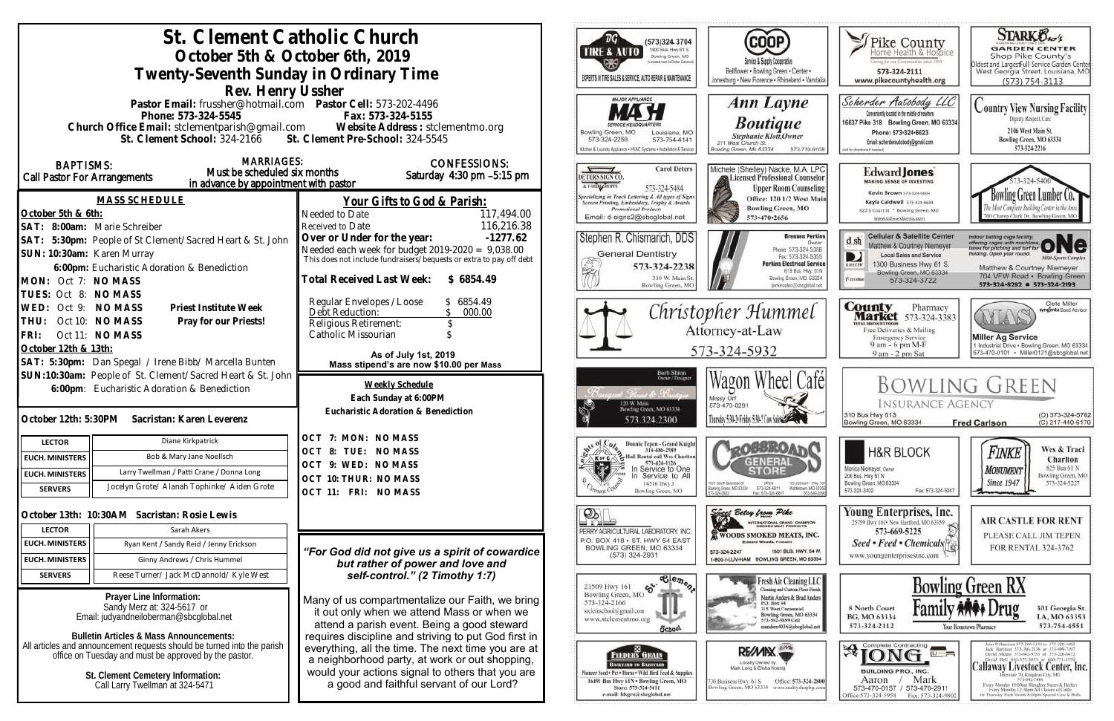| St. Clement Catholic Church<br>October 5th & October 6th, 2019<br>Twenty-Seventh Sunday in Ordinary Time<br>Rev. Henry Ussher                                                                                                                                       |                                                                                                                                                                                                                                        | <b>COOP</b><br>(573)324 3704<br>1400 Bus. Hwy 61 S.<br>TIRE & AUTO<br>Bowling Green, MO<br>Service & Supply Cooperative<br>picated meet to Deltar Garrens<br>Bellflower . Bowling Green . Center .<br>EXPERTS IN TIRE SALES & SERVICE, AUTO REPAIR & MAINTENANCE<br>Jonesburg . New Florence . Rhineland . Vandalia                                                                                                         | <b>STARK Oxo's</b><br>Thike County<br><b>GARDEN CENTER</b><br>Shop Pike County's<br>aring for our Communities street 1969<br>Oldest and LargestFull-Service Garden Center<br>West Georgia Street, Louisiana, MO<br>573-324-2111<br>www.pikecountyhealth.org<br>$(573) 754 - 3113$                                                                                                                                                                                                                                                                                                          |
|---------------------------------------------------------------------------------------------------------------------------------------------------------------------------------------------------------------------------------------------------------------------|----------------------------------------------------------------------------------------------------------------------------------------------------------------------------------------------------------------------------------------|-----------------------------------------------------------------------------------------------------------------------------------------------------------------------------------------------------------------------------------------------------------------------------------------------------------------------------------------------------------------------------------------------------------------------------|--------------------------------------------------------------------------------------------------------------------------------------------------------------------------------------------------------------------------------------------------------------------------------------------------------------------------------------------------------------------------------------------------------------------------------------------------------------------------------------------------------------------------------------------------------------------------------------------|
| Pastor Email: frussher@hotmail.com    Pastor Cell: 573-202-4496<br>Phone: 573-324-5545<br>Fax: 573-324-5155<br>Church Office Email: stclementparish@gmail.com Website Address : stclementmo.org<br>St. Clement Pre-School: 324-5545<br>St. Clement School: 324-2166 |                                                                                                                                                                                                                                        | <b>MAJOR APPLIANCE</b><br>Ann Layne<br><b>Boutique</b><br>Bowling Green, MO<br>Louisiana, MO<br>Stephanie Klott, Owner<br>573-324-2259<br>573-754-4141<br>211 West Church St.<br>Ochen & Laundry Appliance . HVAC Systems . Installation & Service<br>lowling Green, Mo 63334<br>573-719-9108                                                                                                                               | Scherder Autobody LLC<br><b>Country View Nursing Facility</b><br>Conveniently located in the middle of nowhere<br>Dignity, Respect, Care<br>16637 Pike 318 Bowling Green, MO 63334<br>2106 West Main St.<br>Phone: 573-324-6023<br>Bowling Green, MO 63334<br>Email: scherderautobody@gmail.com<br>573-324-2216<br>bill for directions if needed                                                                                                                                                                                                                                           |
| <b>MARRIAGES:</b><br><b>BAPTISMS:</b><br>Must be scheduled six months<br>Call Pastor For Arrangements<br>in advance by appointment with pastor<br><b>MASS SCHEDULE</b><br>October 5th & 6th:<br>SAT: 8:00am: Marie Schreiber                                        | <b>CONFESSIONS:</b><br>Saturday 4:30 pm -5:15 pm<br>Your Gifts to God & Parish:<br>117,494.00<br>Needed to Date<br>116,216.38<br>Received to Date                                                                                      | <b>Carol Deters</b><br>Michele (Shelley) Nacke, M.A. LPC<br>Licensed Professional Counselor<br>DETERS SIGN CO.<br>A LSHING SHOPPE<br>573-324-5484<br><b>Upper Room Counseling</b><br>Specializing in Truck Lettering & All types of Signs<br>Screen Printing, Embroidery, Trophy & Awards<br>Office: 120 1/2 West Main<br><b>Bowling Green, MO</b><br>Promotional Products<br>Email: d-signs2@sbcglobal.net<br>573-470-2656 | <b>Edward Jones</b><br>MAKING SENSE OF INVESTING<br>Kevin Brown 573-324-6604<br>wling Green Lumber Co.<br>Kayla Caldwell 373-324-6604<br>822 S Court St * Bowling Green, MO<br>00 Champ Clark Dr. Bowling Green, M<br>www.edwardiones.com                                                                                                                                                                                                                                                                                                                                                  |
| SAT: 5:30pm: People of St Clement/Sacred Heart & St. John<br>SUN: 10:30am: Karen Murray<br>6:00pm: Eucharistic Adoration & Benediction<br>MON: Oct 7: NO MASS<br>TUES: Oct 8: NO MASS                                                                               | Over or Under for the year:<br>$-1277.62$<br>Needed each week for budget $2019-2020 = 9,038.00$<br>This does not include fundraisers/bequests or extra to pay off debt<br>Total Received Last Week: \$6854.49                          | Stephen R. Chismarich, DDS<br><b>Brennen Perkins</b><br>Dwner<br>Phone: 573-324-5366<br><b>General Dentistry</b><br>Fax: 573-324-5355<br><b>Perkins Electrical Service</b><br>573-324-2238<br>819 Bus. Hwy. 61N<br>310 W. Main St<br>Bowling Green, MO. 63334<br>Bowling Green, MO<br>perkinselec@shcolobal.net                                                                                                             | <b>Cellular &amp; Satellite Center</b><br>Indoor batting cage facility.<br>offering cages with machines ONC<br>$d$ sh<br>Matthew & Courtney Niemeyer<br>fielding. Open year round.<br>Local Sales and Service<br><b>Milti-Sparts Complex</b><br>1300 Business Hwy 61 S.<br>DIRECTI<br>Matthew & Courtney Niemeyer<br>Bowling Green, MO 63334<br>704 VFW Road · Bowling Green<br><b>Xiatchie</b><br>573-324-3722<br>573-324-8282 0 573-324-2193                                                                                                                                             |
| WED: Oct 9: NO MASS<br>Priest Institute Week<br>THU: Oct 10: NO MASS<br>Pray for our Priests!<br>FRI:<br>Oct 11: NO MASS<br>October 12th & 13th:<br>SAT: 5:30pm: Dan Spegal / Irene Bibb/ Marcella Bunten                                                           | Regular Envelopes / Loose<br>\$6854.49<br>000.00<br>Debt Reduction:<br>Religious Retirement:<br>Catholic Missourian<br>As of July 1st, 2019<br>Mass stipend's are now \$10.00 per Mass                                                 | Christopher Hummel<br>Attorney-at-Law<br>573-324-5932                                                                                                                                                                                                                                                                                                                                                                       | Clete Miller<br><b>County</b> Pharmacy<br><b>Market</b> 573-324-3383<br>syngenta Sood Advisor<br><b>ITAL BISCOUNT PROBE</b><br>Free Deliveries & Mailing<br><b>Miller Ag Service</b><br><b>Emergency Service</b><br>9 am - 6 pm M-F<br>1 Industrial Drive . Bowling Green, MO 63334<br>573-470-0101 · Miller0121@sbcglobal.net<br>9 am - 2 pm Sat                                                                                                                                                                                                                                          |
| SUN:10:30am: People of St. Clement/Sacred Heart & St. John<br>6:00pm: Eucharistic Adoration & Benediction<br>October 12th: 5:30PM<br>Sacristan: Karen Leverenz                                                                                                      | Weekly Schedule<br>Each Sunday at 6:00PM<br>Eucharistic Adoration & Benediction                                                                                                                                                        | Barb Shinn<br>Owner/Designe<br>Wagon Wheel Cafel<br>Francis & Rose<br>Missy Orf<br>120 W. Main<br>573-470-0291<br>Bowling Green, MO 63334<br>Thursday 5:30-5 Friday 5:30-7 Con Subscription<br>573.324.2300                                                                                                                                                                                                                 | <b>BOWLING GREEN</b><br><b>INSURANCE AGENCY</b><br>310 Bus Hwy 61S<br>(O) 573-324-5762<br>(C) 217-440-6170<br>Bowling Green, MO 63334<br><b>Fred Carlson</b>                                                                                                                                                                                                                                                                                                                                                                                                                               |
| Diane Kirkpatrick<br><b>LECTOR</b><br>Bob & Mary Jane Noellsch<br><b>EUCH. MINISTERS</b><br>Larry Twellman / Patti Crane / Donna Long<br><b>EUCH. MINISTERS</b><br>Jocelyn Grote/ Alanah Tophinke/ Aiden Grote<br><b>SERVERS</b>                                    | OCT<br>7: MON: NO MASS<br><b>OCT</b><br>8: TUE: NO MASS<br>OCT 9: WED: NO MASS<br>OCT 10: THUR: NO MASS<br>OCT 11: FRI: NO MASS                                                                                                        | Donnie Tepen - Grand Knight<br>314-486-2989<br>Hall Rental call Wes Charlton<br><b>X</b> or C<br>573-424-1126<br>γ∲r<br>In Service to One<br>Service to All<br>14516 Hwy J<br>001 South Business 61<br>Ofice:<br>110 Johnson - Hwy 5<br>Middietown, MD 63395<br>Bowlinig Green, MD 63334<br>573-324-6811<br>Bowling Green, MO<br>573-549-20<br>Fax: 575-324-6811                                                            | Wes & Traci<br><b>H&amp;R BLOCK</b><br>Finke<br>Charlton<br>825 Bus 61 N<br>Monica Niemeyer, Owner<br><b>MONUMENT</b><br>206 Bus. Hwy 61 N<br>Bowling Green, MO<br><b>Since 1947</b><br>573-324-5227<br>Bowling Green, MO 63334<br>573-324-3402<br>Fax: 573-324-5047                                                                                                                                                                                                                                                                                                                       |
| October 13th: 10:30AM Sacristan: Rosie Lewis<br>Sarah Akers<br><b>LECTOR</b><br><b>EUCH. MINISTERS</b><br>Ryan Kent / Sandy Reid / Jenny Erickson<br>Ginny Andrews / Chris Hummel<br><b>EUCH. MINISTERS</b>                                                         | "For God did not give us a spirit of cowardice<br>but rather of power and love and                                                                                                                                                     | $\mathcal{P}_\mathbb{R}$<br>Sings Betsy from Pike<br>INTERNATIONAL GRAND CHAMPION<br>PERRY AGRICULTURAL LABORATORY, INC.<br><b>WOODS SMOKED MEATS, INC.</b><br>P.O. BOX 418 . ST. HWY 54 EAST<br><b>Edward Woods, President</b><br>BOWLING GREEN, MO 63334<br>1501 BUS, HWY, 54 W.<br>573-324-2247<br>$(573)$ 324-2931<br>1-800-I-LUV-HAM BOWLING GREEN, MO 63334                                                           | Young Enterprises, Inc.<br><b>AIR CASTLE FOR RENT</b><br>25759 Hwy 161 . New Hartford, MO 63359<br>573-669-5225<br>PLEASE CALL JIM TEPEN<br>Seed • Feed • Chemicals<br>FOR RENTAL 324-3762<br>www.youngenterprisesinc.com                                                                                                                                                                                                                                                                                                                                                                  |
| Reese Turner/ Jack McDannold/ Kyle West<br><b>SERVERS</b><br>Prayer Line Information:<br>Sandy Merz at: 324-5617 or<br>Email: judyandneiloberman@sbcglobal.net<br><b>Bulletin Articles &amp; Mass Announcements:</b>                                                | self-control." (2 Timothy 1:7)<br>Many of us compartmentalize our Faith, we bring<br>it out only when we attend Mass or when we<br>attend a parish event. Being a good steward<br>requires discipline and striving to put God first in | $\overline{\text{e}^{\text{le}}_{\text{e}}\text{e}_{\text{e}_{\text{O}}}}$<br>Fresh Air Cleaning LLC<br>65<br>21509 Hwy 161<br>Cleaning and Custom Floor Finish<br>Bowling Green, MO<br>Martin Anders & Brad Anders<br>573-324-2166<br>P.O. Box 44<br>315 West Centennial<br>stelemschool@gmail.com<br>Bowling Green, MO 63334<br>www.stclementmo.org<br>573-592-9899 Cell<br>manders4036@sbcglobal.net<br><b>School</b>    | <b>Bowling Green RX</b><br>8 North Court<br>301 Georgia St.<br>BG, MO 63334<br>LA, MO 63353<br>573-754-4551<br>573-324-2112<br>Your Hometown Pharmacy                                                                                                                                                                                                                                                                                                                                                                                                                                      |
| All articles and announcement requests should be turned into the parish<br>office on Tuesday and must be approved by the pastor.<br>St. Clement Cemetery Information:<br>Call Larry Twellman at 324-5471                                                            | everything, all the time. The next time you are at<br>a neighborhood party, at work or out shopping,<br>would your actions signal to others that you are<br>a good and faithful servant of our Lord?                                   | RE/MIX<br><b>FEEDERS GRAIN</b><br>Locally Owned by<br>ВАСКУЛНИ ТО ВЛИМАЯЮ-<br>Mark Lang & Elisha Koenig<br>Finneer Seed + Pet . Horse . Wild Bird Feed & Supplies<br>16491 Bus Hwy 61N . Bowling Green, MO<br>Office: 573-324-2800<br>130 Business Hwy, 61 S<br>Bowling Green, MO 63334 www.realtyshopbg.com<br>Store: 573-324-5411<br>e-mail: fdsgrn@sbcglobal.net                                                         | kthn P. Harrison 573-386-5150 or 573-220-1482<br>$*$ [ONG]<br>$\overline{u}$ =<br>Jack Hurrison 573-386-2138 or 573-999-7197<br>David Means 573-642-9753 st 573-220-0472<br>David Bell 816-527-5633 or 660-721-1370<br>Callaway Livestock Center, Inc.<br><b>BUILDING PRO., INC.</b><br>terratio 70, Kingdoni City, MO-<br>Mark<br>Aaron<br>573-642-7486<br>Every Monitay 10:00am Sloughter Steers & Heilers<br>573-470-0157 / 573-470-2911<br>Every Merckey 12:30pm All Classes of Cattle<br>Office: 573-324-5958 Fax: 573-324-980.<br>Le Thursday Each Month 6:00pm Special Cow & Bulls. |